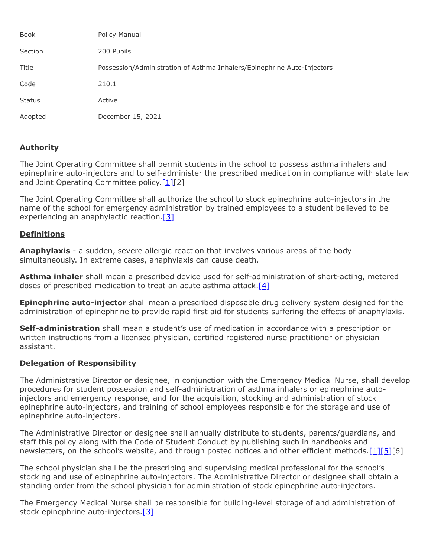| <b>Book</b>   | Policy Manual                                                           |
|---------------|-------------------------------------------------------------------------|
| Section       | 200 Pupils                                                              |
| Title         | Possession/Administration of Asthma Inhalers/Epinephrine Auto-Injectors |
| Code          | 210.1                                                                   |
| <b>Status</b> | Active                                                                  |
| Adopted       | December 15, 2021                                                       |

# **Authority**

The Joint Operating Committee shall permit students in the school to possess asthma inhalers and epinephrine auto-injectors and to self-administer the prescribed medication in compliance with state law and Joint Operating Committee policy. $[1][2]$ 

The Joint Operating Committee shall authorize the school to stock epinephrine auto-injectors in the name of the school for emergency administration by trained employees to a student believed to be experiencing an anaphylactic reaction.  $[3]$ 

# **Definitions**

**Anaphylaxis** - a sudden, severe allergic reaction that involves various areas of the body simultaneously. In extreme cases, anaphylaxis can cause death.

**Asthma inhaler** shall mean a prescribed device used for self-administration of short-acting, metered doses of prescribed medication to treat an acute asthma attack.<sup>[4]</sup>

**Epinephrine auto-injector** shall mean a prescribed disposable drug delivery system designed for the administration of epinephrine to provide rapid first aid for students suffering the effects of anaphylaxis.

**Self-administration** shall mean a student's use of medication in accordance with a prescription or written instructions from a licensed physician, certified registered nurse practitioner or physician assistant.

### **Delegation of Responsibility**

The Administrative Director or designee, in conjunction with the Emergency Medical Nurse, shall develop procedures for student possession and self-administration of asthma inhalers or epinephrine autoinjectors and emergency response, and for the acquisition, stocking and administration of stock epinephrine auto-injectors, and training of school employees responsible for the storage and use of epinephrine auto-injectors.

The Administrative Director or designee shall annually distribute to students, parents/guardians, and staff this policy along with the Code of Student Conduct by publishing such in handbooks and newsletters, on the school's website, and through posted notices and other efficient methods[.\[1\]](http://www.legis.state.pa.us/cfdocs/legis/LI/uconsCheck.cfm?txtType=HTM&yr=1949&sessInd=0&smthLwInd=0&act=14&chpt=14&sctn=14&subsctn=1)[\[5\]\[](http://pacodeandbulletin.gov/Display/pacode?file=/secure/pacode/data/022/chapter12/s12.3.html&d=reduce)6]

The school physician shall be the prescribing and supervising medical professional for the school's stocking and use of epinephrine auto-injectors. The Administrative Director or designee shall obtain a standing order from the school physician for administration of stock epinephrine auto-injectors.

The Emergency Medical Nurse shall be responsible for building-level storage of and administration of stock epinephrine auto-injectors.<sup>[\[3\]](http://www.legis.state.pa.us/cfdocs/legis/LI/uconsCheck.cfm?txtType=HTM&yr=1949&sessInd=0&smthLwInd=0&act=14&chpt=14&sctn=14&subsctn=2)</sup>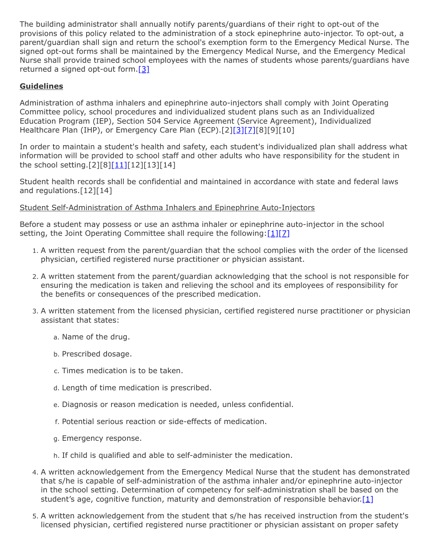The building administrator shall annually notify parents/guardians of their right to opt-out of the provisions of this policy related to the administration of a stock epinephrine auto-injector. To opt-out, a parent/guardian shall sign and return the school's exemption form to the Emergency Medical Nurse. The signed opt-out forms shall be maintained by the Emergency Medical Nurse, and the Emergency Medical Nurse shall provide trained school employees with the names of students whose parents/guardians have returned a signed opt-out form[.\[3\]](http://www.legis.state.pa.us/cfdocs/legis/LI/uconsCheck.cfm?txtType=HTM&yr=1949&sessInd=0&smthLwInd=0&act=14&chpt=14&sctn=14&subsctn=2)

# **Guidelines**

Administration of asthma inhalers and epinephrine auto-injectors shall comply with Joint Operating Committee policy, school procedures and individualized student plans such as an Individualized Education Program (IEP), Section 504 Service Agreement (Service Agreement), Individualized Healthcare Plan (IHP), or Emergency Care Plan (ECP).[2][\[3\]](http://www.legis.state.pa.us/cfdocs/legis/LI/uconsCheck.cfm?txtType=HTM&yr=1949&sessInd=0&smthLwInd=0&act=14&chpt=14&sctn=14&subsctn=2)[\[7\]\[](http://pacodeandbulletin.gov/Display/pacode?file=/secure/pacode/data/022/chapter12/s12.41.html&d=reduce)8][9][10]

In order to maintain a student's health and safety, each student's individualized plan shall address what information will be provided to school staff and other adults who have responsibility for the student in the school setting.[2][8[\]\[11\]\[](http://www.legis.state.pa.us/cfdocs/legis/LI/uconsCheck.cfm?txtType=HTM&yr=1949&sessInd=0&smthLwInd=0&act=14&chpt=14&sctn=9&subsctn=0)12][13][14]

Student health records shall be confidential and maintained in accordance with state and federal laws and regulations.[12][14]

Student Self-Administration of Asthma Inhalers and Epinephrine Auto-Injectors

Before a student may possess or use an asthma inhaler or epinephrine auto-injector in the school setting, the Joint Operating Committee shall require the following: $[1][7]$  $[1][7]$ 

- 1. A written request from the parent/guardian that the school complies with the order of the licensed physician, certified registered nurse practitioner or physician assistant.
- 2. A written statement from the parent/guardian acknowledging that the school is not responsible for ensuring the medication is taken and relieving the school and its employees of responsibility for the benefits or consequences of the prescribed medication.
- 3. A written statement from the licensed physician, certified registered nurse practitioner or physician assistant that states:
	- a. Name of the drug.
	- b. Prescribed dosage.
	- c. Times medication is to be taken.
	- d. Length of time medication is prescribed.
	- e. Diagnosis or reason medication is needed, unless confidential.
	- f. Potential serious reaction or side-effects of medication.
	- g. Emergency response.
	- h. If child is qualified and able to self-administer the medication.
- 4. A written acknowledgement from the Emergency Medical Nurse that the student has demonstrated that s/he is capable of self-administration of the asthma inhaler and/or epinephrine auto-injector in the school setting. Determination of competency for self-administration shall be based on the student's age, cognitive function, maturity and demonstration of responsible behavior.<sup>[1]</sup>
- 5. A written acknowledgement from the student that s/he has received instruction from the student's licensed physician, certified registered nurse practitioner or physician assistant on proper safety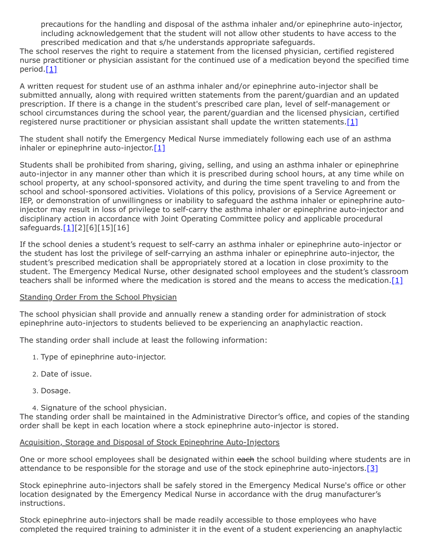precautions for the handling and disposal of the asthma inhaler and/or epinephrine auto-injector, including acknowledgement that the student will not allow other students to have access to the prescribed medication and that s/he understands appropriate safeguards.

The school reserves the right to require a statement from the licensed physician, certified registered nurse practitioner or physician assistant for the continued use of a medication beyond the specified time period.[\[1\]](http://www.legis.state.pa.us/cfdocs/legis/LI/uconsCheck.cfm?txtType=HTM&yr=1949&sessInd=0&smthLwInd=0&act=14&chpt=14&sctn=14&subsctn=1)

A written request for student use of an asthma inhaler and/or epinephrine auto-injector shall be submitted annually, along with required written statements from the parent/guardian and an updated prescription. If there is a change in the student's prescribed care plan, level of self-management or school circumstances during the school year, the parent/guardian and the licensed physician, certified registered nurse practitioner or physician assistant shall update the written statements.[\[1\]](http://www.legis.state.pa.us/cfdocs/legis/LI/uconsCheck.cfm?txtType=HTM&yr=1949&sessInd=0&smthLwInd=0&act=14&chpt=14&sctn=14&subsctn=1)

The student shall notify the Emergency Medical Nurse immediately following each use of an asthma inhaler or epinephrine auto-injector.  $[1]$ 

Students shall be prohibited from sharing, giving, selling, and using an asthma inhaler or epinephrine auto-injector in any manner other than which it is prescribed during school hours, at any time while on school property, at any school-sponsored activity, and during the time spent traveling to and from the school and school-sponsored activities. Violations of this policy, provisions of a Service Agreement or IEP, or demonstration of unwillingness or inability to safeguard the asthma inhaler or epinephrine autoinjector may result in loss of privilege to self-carry the asthma inhaler or epinephrine auto-injector and disciplinary action in accordance with Joint Operating Committee policy and applicable procedural safeguards.[\[1\]\[](http://www.legis.state.pa.us/cfdocs/legis/LI/uconsCheck.cfm?txtType=HTM&yr=1949&sessInd=0&smthLwInd=0&act=14&chpt=14&sctn=14&subsctn=1)2][6][15][16]

If the school denies a student's request to self-carry an asthma inhaler or epinephrine auto-injector or the student has lost the privilege of self-carrying an asthma inhaler or epinephrine auto-injector, the student's prescribed medication shall be appropriately stored at a location in close proximity to the student. The Emergency Medical Nurse, other designated school employees and the student's classroom teachers shall be informed where the medication is stored and the means to access the medication.  $[1]$ 

### Standing Order From the School Physician

The school physician shall provide and annually renew a standing order for administration of stock epinephrine auto-injectors to students believed to be experiencing an anaphylactic reaction.

The standing order shall include at least the following information:

- 1. Type of epinephrine auto-injector.
- 2. Date of issue.
- 3. Dosage.
- 4. Signature of the school physician.

The standing order shall be maintained in the Administrative Director's office, and copies of the standing order shall be kept in each location where a stock epinephrine auto-injector is stored.

### Acquisition, Storage and Disposal of Stock Epinephrine Auto-Injectors

One or more school employees shall be designated within each the school building where students are in attendance to be responsible for the storage and use of the stock epinephrine auto-injectors.[\[3\]](http://www.legis.state.pa.us/cfdocs/legis/LI/uconsCheck.cfm?txtType=HTM&yr=1949&sessInd=0&smthLwInd=0&act=14&chpt=14&sctn=14&subsctn=2)

Stock epinephrine auto-injectors shall be safely stored in the Emergency Medical Nurse's office or other location designated by the Emergency Medical Nurse in accordance with the drug manufacturer's instructions.

Stock epinephrine auto-injectors shall be made readily accessible to those employees who have completed the required training to administer it in the event of a student experiencing an anaphylactic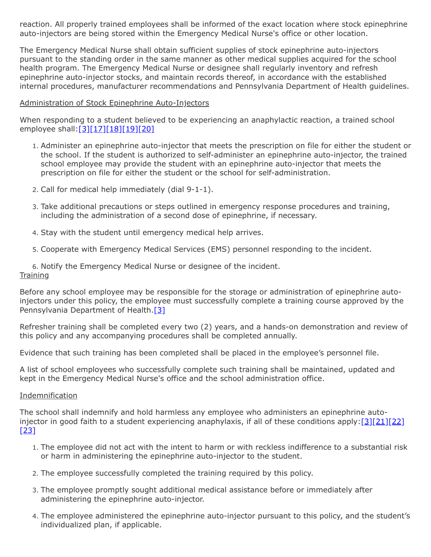reaction. All properly trained employees shall be informed of the exact location where stock epinephrine auto-injectors are being stored within the Emergency Medical Nurse's office or other location.

The Emergency Medical Nurse shall obtain sufficient supplies of stock epinephrine auto-injectors pursuant to the standing order in the same manner as other medical supplies acquired for the school health program. The Emergency Medical Nurse or designee shall regularly inventory and refresh epinephrine auto-injector stocks, and maintain records thereof, in accordance with the established internal procedures, manufacturer recommendations and Pennsylvania Department of Health guidelines.

### Administration of Stock Epinephrine Auto-Injectors

When responding to a student believed to be experiencing an anaphylactic reaction, a trained school employee shall: [3][\[17\]](http://www.legis.state.pa.us/cfdocs/legis/LI/consCheck.cfm?txtType=HTM&ttl=42&div=0&chpt=83&sctn=32&subsctn=0)[\[18\]](http://www.legis.state.pa.us/cfdocs/legis/LI/consCheck.cfm?txtType=HTM&ttl=42&div=0&chpt=83&sctn=37&subsctn=1)[\[19\]](http://www.legis.state.pa.us/cfdocs/legis/LI/consCheck.cfm?txtType=HTM&ttl=42&div=0&chpt=85&sctn=41&subsctn=0)[\[20\]](http://www.legis.state.pa.us/cfdocs/legis/LI/consCheck.cfm?txtType=HTM&ttl=42&div=0&chpt=85&sctn=45&subsctn=0)

- 1. Administer an epinephrine auto-injector that meets the prescription on file for either the student or the school. If the student is authorized to self-administer an epinephrine auto-injector, the trained school employee may provide the student with an epinephrine auto-injector that meets the prescription on file for either the student or the school for self-administration.
- 2. Call for medical help immediately (dial 9-1-1).
- 3. Take additional precautions or steps outlined in emergency response procedures and training, including the administration of a second dose of epinephrine, if necessary.
- 4. Stay with the student until emergency medical help arrives.
- 5. Cooperate with Emergency Medical Services (EMS) personnel responding to the incident.

6. Notify the Emergency Medical Nurse or designee of the incident. **Training** 

Before any school employee may be responsible for the storage or administration of epinephrine autoinjectors under this policy, the employee must successfully complete a training course approved by the Pennsylvania Department of Health.<sup>[\[3\]](http://www.legis.state.pa.us/cfdocs/legis/LI/uconsCheck.cfm?txtType=HTM&yr=1949&sessInd=0&smthLwInd=0&act=14&chpt=14&sctn=14&subsctn=2)</sup>

Refresher training shall be completed every two (2) years, and a hands-on demonstration and review of this policy and any accompanying procedures shall be completed annually.

Evidence that such training has been completed shall be placed in the employee's personnel file.

A list of school employees who successfully complete such training shall be maintained, updated and kept in the Emergency Medical Nurse's office and the school administration office.

#### Indemnification

The school shall indemnify and hold harmless any employee who administers an epinephrine autoinjector in good faith to a student experiencing anaphylaxis, if all of these conditions apply:[\[3\]](http://www.legis.state.pa.us/cfdocs/legis/LI/uconsCheck.cfm?txtType=HTM&yr=1949&sessInd=0&smthLwInd=0&act=14&chpt=14&sctn=14&subsctn=2)[\[21\]](http://www.legis.state.pa.us/cfdocs/legis/LI/uconsCheck.cfm?txtType=HTM&yr=1949&sessInd=0&smthLwInd=0&act=14&chpt=14&sctn=14&subsctn=9)[\[22\]](http://www.legis.state.pa.us/cfdocs/legis/LI/consCheck.cfm?txtType=HTM&ttl=42&div=0&chpt=85&sctn=47&subsctn=0) [\[23\]](http://www.legis.state.pa.us/cfdocs/legis/LI/consCheck.cfm?txtType=HTM&ttl=42&div=0&chpt=85&sctn=48&subsctn=0)

- 1. The employee did not act with the intent to harm or with reckless indifference to a substantial risk or harm in administering the epinephrine auto-injector to the student.
- 2. The employee successfully completed the training required by this policy.
- 3. The employee promptly sought additional medical assistance before or immediately after administering the epinephrine auto-injector.
- 4. The employee administered the epinephrine auto-injector pursuant to this policy, and the student's individualized plan, if applicable.